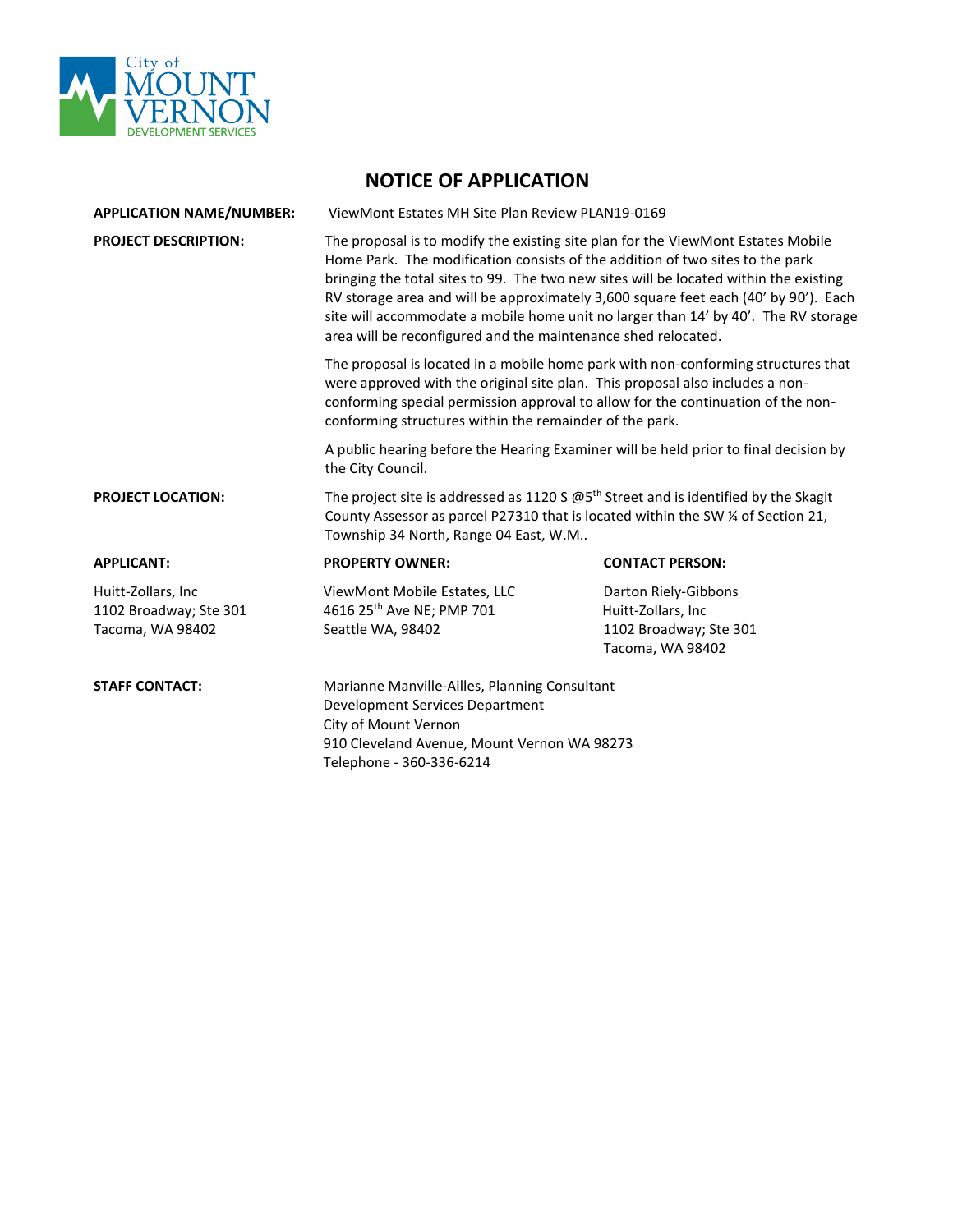

| <b>APPLICATION NAME/NUMBER:</b>                                   | ViewMont Estates MH Site Plan Review PLAN19-0169                                                                                                                                                                                                                                                                                                                                                                                                                                                                                                                                                                                                                                                                                                                                                                              |                                                                                          |
|-------------------------------------------------------------------|-------------------------------------------------------------------------------------------------------------------------------------------------------------------------------------------------------------------------------------------------------------------------------------------------------------------------------------------------------------------------------------------------------------------------------------------------------------------------------------------------------------------------------------------------------------------------------------------------------------------------------------------------------------------------------------------------------------------------------------------------------------------------------------------------------------------------------|------------------------------------------------------------------------------------------|
| <b>PROJECT DESCRIPTION:</b>                                       | The proposal is to modify the existing site plan for the ViewMont Estates Mobile<br>Home Park. The modification consists of the addition of two sites to the park<br>bringing the total sites to 99. The two new sites will be located within the existing<br>RV storage area and will be approximately 3,600 square feet each (40' by 90'). Each<br>site will accommodate a mobile home unit no larger than 14' by 40'. The RV storage<br>area will be reconfigured and the maintenance shed relocated.<br>The proposal is located in a mobile home park with non-conforming structures that<br>were approved with the original site plan. This proposal also includes a non-<br>conforming special permission approval to allow for the continuation of the non-<br>conforming structures within the remainder of the park. |                                                                                          |
|                                                                   |                                                                                                                                                                                                                                                                                                                                                                                                                                                                                                                                                                                                                                                                                                                                                                                                                               |                                                                                          |
|                                                                   | A public hearing before the Hearing Examiner will be held prior to final decision by<br>the City Council.                                                                                                                                                                                                                                                                                                                                                                                                                                                                                                                                                                                                                                                                                                                     |                                                                                          |
| <b>PROJECT LOCATION:</b>                                          | The project site is addressed as 1120 S $\omega$ 5 <sup>th</sup> Street and is identified by the Skagit<br>County Assessor as parcel P27310 that is located within the SW ¼ of Section 21,<br>Township 34 North, Range 04 East, W.M                                                                                                                                                                                                                                                                                                                                                                                                                                                                                                                                                                                           |                                                                                          |
| <b>APPLICANT:</b>                                                 | <b>PROPERTY OWNER:</b>                                                                                                                                                                                                                                                                                                                                                                                                                                                                                                                                                                                                                                                                                                                                                                                                        | <b>CONTACT PERSON:</b>                                                                   |
| Huitt-Zollars, Inc.<br>1102 Broadway; Ste 301<br>Tacoma, WA 98402 | ViewMont Mobile Estates, LLC<br>4616 25th Ave NE; PMP 701<br>Seattle WA, 98402                                                                                                                                                                                                                                                                                                                                                                                                                                                                                                                                                                                                                                                                                                                                                | Darton Riely-Gibbons<br>Huitt-Zollars, Inc<br>1102 Broadway; Ste 301<br>Tacoma, WA 98402 |
| <b>STAFF CONTACT:</b>                                             | Marianne Manville-Ailles, Planning Consultant<br>Development Services Department<br>City of Mount Vernon                                                                                                                                                                                                                                                                                                                                                                                                                                                                                                                                                                                                                                                                                                                      |                                                                                          |

910 Cleveland Avenue, Mount Vernon WA 98273

Telephone - 360-336-6214

**NOTICE OF APPLICATION**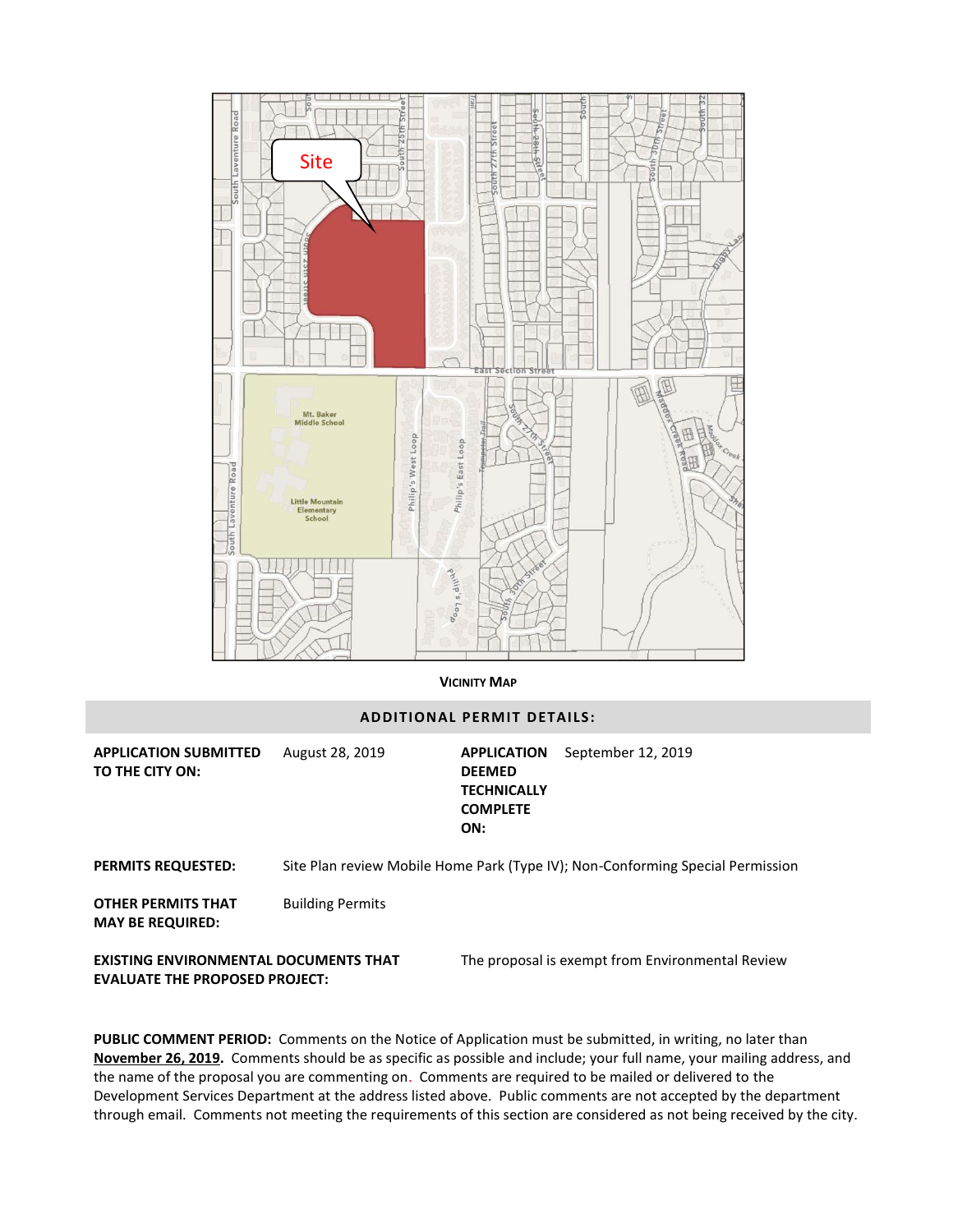

## **VICINITY MAP**

## **ADDITIONAL PERMIT DETAILS:**

**APPLICATION SUBMITTED TO THE CITY ON:** August 28, 2019 **APPLICATION** 

**DEEMED TECHNICALLY COMPLETE ON:** September 12, 2019

**PERMITS REQUESTED:** Site Plan review Mobile Home Park (Type IV); Non-Conforming Special Permission

**OTHER PERMITS THAT MAY BE REQUIRED:** Building Permits

The proposal is exempt from Environmental Review

**EXISTING ENVIRONMENTAL DOCUMENTS THAT EVALUATE THE PROPOSED PROJECT:**

**PUBLIC COMMENT PERIOD:** Comments on the Notice of Application must be submitted, in writing, no later than **November 26, 2019.** Comments should be as specific as possible and include; your full name, your mailing address, and the name of the proposal you are commenting on. Comments are required to be mailed or delivered to the Development Services Department at the address listed above. Public comments are not accepted by the department through email. Comments not meeting the requirements of this section are considered as not being received by the city.